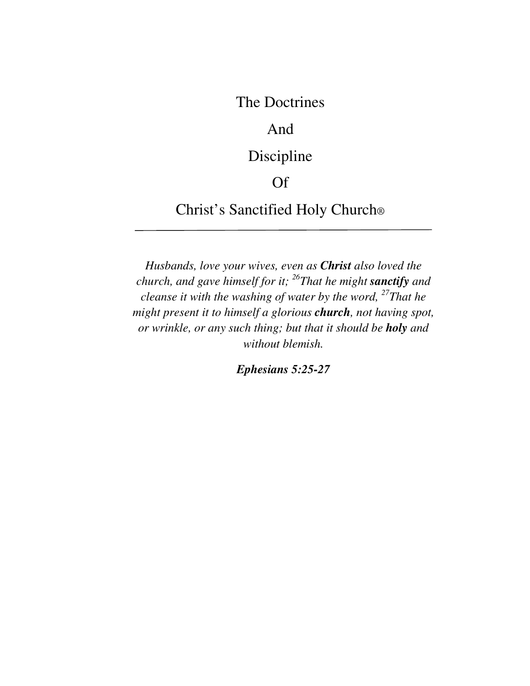The Doctrines

## And

# Discipline

## Of

Christ's Sanctified Holy Church®

*Husbands, love your wives, even as Christ also loved the church, and gave himself for it; <sup>26</sup>That he might sanctify and cleanse it with the washing of water by the word, <sup>27</sup>That he might present it to himself a glorious church, not having spot, or wrinkle, or any such thing; but that it should be holy and without blemish.* 

*Ephesians 5:25-27*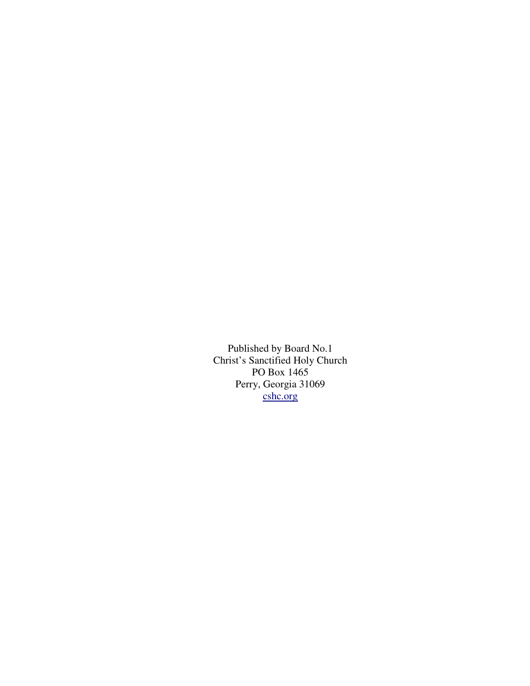Published by Board No.1 Christ's Sanctified Holy Church PO Box 1465 Perry, Georgia 31069 cshc.org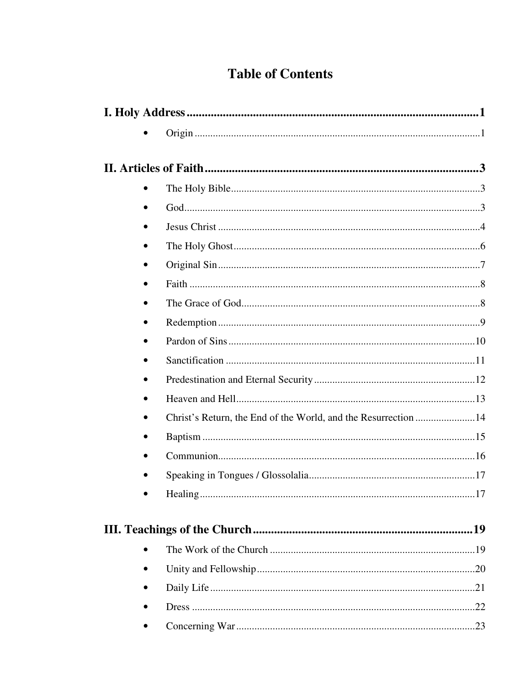## **Table of Contents**

| $\bullet$                                                      |     |
|----------------------------------------------------------------|-----|
|                                                                |     |
|                                                                |     |
|                                                                |     |
| $\bullet$                                                      |     |
|                                                                |     |
|                                                                |     |
| $\bullet$                                                      |     |
|                                                                |     |
| Christ's Return, the End of the World, and the Resurrection 14 |     |
| ٠                                                              |     |
|                                                                |     |
|                                                                |     |
|                                                                | .17 |
|                                                                |     |
|                                                                |     |
|                                                                |     |
|                                                                |     |
|                                                                |     |
|                                                                |     |
|                                                                |     |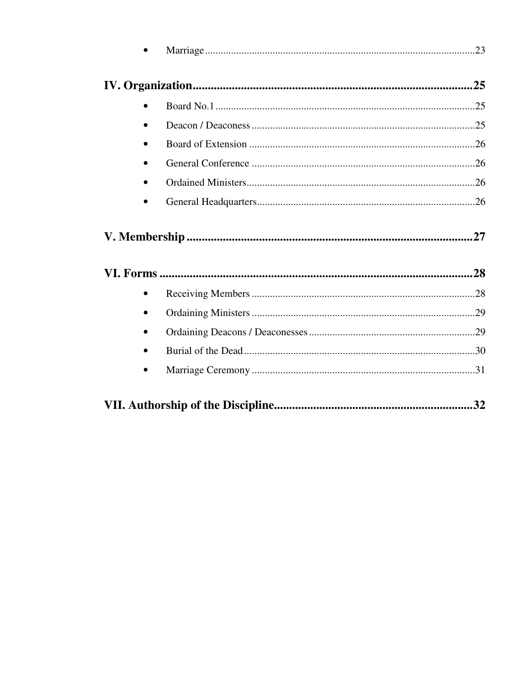| .32 |  |  |  |
|-----|--|--|--|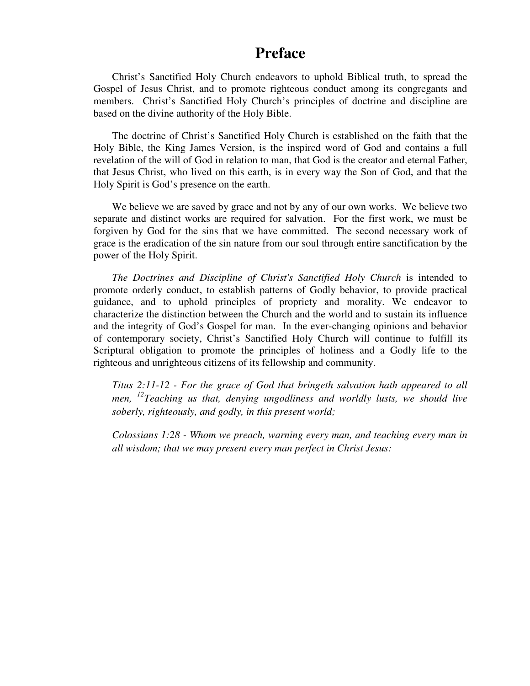### **Preface**

Christ's Sanctified Holy Church endeavors to uphold Biblical truth, to spread the Gospel of Jesus Christ, and to promote righteous conduct among its congregants and members. Christ's Sanctified Holy Church's principles of doctrine and discipline are based on the divine authority of the Holy Bible.

The doctrine of Christ's Sanctified Holy Church is established on the faith that the Holy Bible, the King James Version, is the inspired word of God and contains a full revelation of the will of God in relation to man, that God is the creator and eternal Father, that Jesus Christ, who lived on this earth, is in every way the Son of God, and that the Holy Spirit is God's presence on the earth.

We believe we are saved by grace and not by any of our own works. We believe two separate and distinct works are required for salvation. For the first work, we must be forgiven by God for the sins that we have committed. The second necessary work of grace is the eradication of the sin nature from our soul through entire sanctification by the power of the Holy Spirit.

*The Doctrines and Discipline of Christ's Sanctified Holy Church* is intended to promote orderly conduct, to establish patterns of Godly behavior, to provide practical guidance, and to uphold principles of propriety and morality. We endeavor to characterize the distinction between the Church and the world and to sustain its influence and the integrity of God's Gospel for man. In the ever-changing opinions and behavior of contemporary society, Christ's Sanctified Holy Church will continue to fulfill its Scriptural obligation to promote the principles of holiness and a Godly life to the righteous and unrighteous citizens of its fellowship and community.

*Titus 2:11-12 - For the grace of God that bringeth salvation hath appeared to all men, <sup>12</sup>Teaching us that, denying ungodliness and worldly lusts, we should live soberly, righteously, and godly, in this present world;* 

*Colossians 1:28 - Whom we preach, warning every man, and teaching every man in all wisdom; that we may present every man perfect in Christ Jesus:*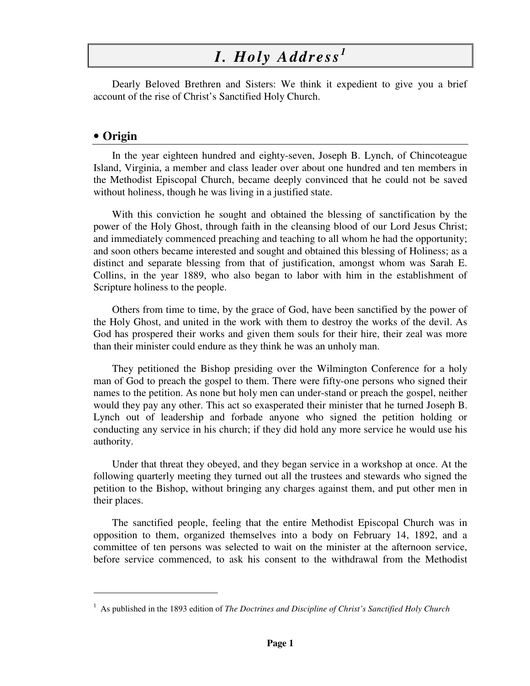# *I. Holy Address <sup>1</sup>*

Dearly Beloved Brethren and Sisters: We think it expedient to give you a brief account of the rise of Christ's Sanctified Holy Church.

#### • **Origin**

-

In the year eighteen hundred and eighty-seven, Joseph B. Lynch, of Chincoteague Island, Virginia, a member and class leader over about one hundred and ten members in the Methodist Episcopal Church, became deeply convinced that he could not be saved without holiness, though he was living in a justified state.

With this conviction he sought and obtained the blessing of sanctification by the power of the Holy Ghost, through faith in the cleansing blood of our Lord Jesus Christ; and immediately commenced preaching and teaching to all whom he had the opportunity; and soon others became interested and sought and obtained this blessing of Holiness; as a distinct and separate blessing from that of justification, amongst whom was Sarah E. Collins, in the year 1889, who also began to labor with him in the establishment of Scripture holiness to the people.

Others from time to time, by the grace of God, have been sanctified by the power of the Holy Ghost, and united in the work with them to destroy the works of the devil. As God has prospered their works and given them souls for their hire, their zeal was more than their minister could endure as they think he was an unholy man.

They petitioned the Bishop presiding over the Wilmington Conference for a holy man of God to preach the gospel to them. There were fifty-one persons who signed their names to the petition. As none but holy men can under-stand or preach the gospel, neither would they pay any other. This act so exasperated their minister that he turned Joseph B. Lynch out of leadership and forbade anyone who signed the petition holding or conducting any service in his church; if they did hold any more service he would use his authority.

Under that threat they obeyed, and they began service in a workshop at once. At the following quarterly meeting they turned out all the trustees and stewards who signed the petition to the Bishop, without bringing any charges against them, and put other men in their places.

The sanctified people, feeling that the entire Methodist Episcopal Church was in opposition to them, organized themselves into a body on February 14, 1892, and a committee of ten persons was selected to wait on the minister at the afternoon service, before service commenced, to ask his consent to the withdrawal from the Methodist

<sup>&</sup>lt;sup>1</sup> As published in the 1893 edition of *The Doctrines and Discipline of Christ's Sanctified Holy Church*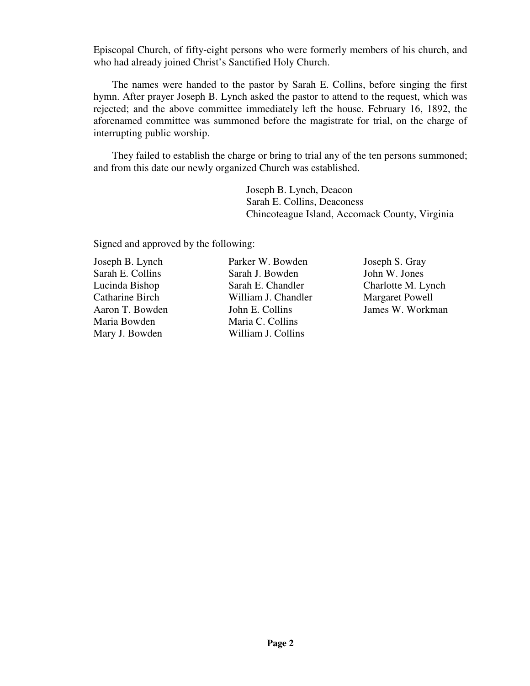Episcopal Church, of fifty-eight persons who were formerly members of his church, and who had already joined Christ's Sanctified Holy Church.

The names were handed to the pastor by Sarah E. Collins, before singing the first hymn. After prayer Joseph B. Lynch asked the pastor to attend to the request, which was rejected; and the above committee immediately left the house. February 16, 1892, the aforenamed committee was summoned before the magistrate for trial, on the charge of interrupting public worship.

They failed to establish the charge or bring to trial any of the ten persons summoned; and from this date our newly organized Church was established.

> Joseph B. Lynch, Deacon Sarah E. Collins, Deaconess Chincoteague Island, Accomack County, Virginia

Signed and approved by the following:

Joseph B. Lynch Sarah E. Collins Lucinda Bishop Catharine Birch Aaron T. Bowden Maria Bowden Mary J. Bowden

Parker W. Bowden Sarah J. Bowden Sarah E. Chandler William J. Chandler John E. Collins Maria C. Collins William J. Collins

Joseph S. Gray John W. Jones Charlotte M. Lynch Margaret Powell James W. Workman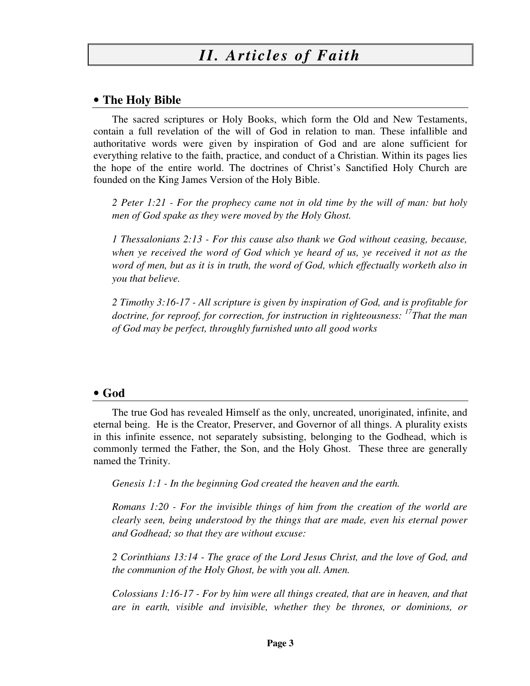#### • **The Holy Bible**

The sacred scriptures or Holy Books, which form the Old and New Testaments, contain a full revelation of the will of God in relation to man. These infallible and authoritative words were given by inspiration of God and are alone sufficient for everything relative to the faith, practice, and conduct of a Christian. Within its pages lies the hope of the entire world. The doctrines of Christ's Sanctified Holy Church are founded on the King James Version of the Holy Bible.

*2 Peter 1:21 - For the prophecy came not in old time by the will of man: but holy men of God spake as they were moved by the Holy Ghost.* 

*1 Thessalonians 2:13 - For this cause also thank we God without ceasing, because, when ye received the word of God which ye heard of us, ye received it not as the word of men, but as it is in truth, the word of God, which effectually worketh also in you that believe.* 

*2 Timothy 3:16-17 - All scripture is given by inspiration of God, and is profitable for doctrine, for reproof, for correction, for instruction in righteousness: <sup>17</sup>That the man of God may be perfect, throughly furnished unto all good works* 

#### • **God**

The true God has revealed Himself as the only, uncreated, unoriginated, infinite, and eternal being. He is the Creator, Preserver, and Governor of all things. A plurality exists in this infinite essence, not separately subsisting, belonging to the Godhead, which is commonly termed the Father, the Son, and the Holy Ghost. These three are generally named the Trinity.

*Genesis 1:1 - In the beginning God created the heaven and the earth.* 

*Romans 1:20 - For the invisible things of him from the creation of the world are clearly seen, being understood by the things that are made, even his eternal power and Godhead; so that they are without excuse:* 

*2 Corinthians 13:14 - The grace of the Lord Jesus Christ, and the love of God, and the communion of the Holy Ghost, be with you all. Amen.* 

*Colossians 1:16-17 - For by him were all things created, that are in heaven, and that are in earth, visible and invisible, whether they be thrones, or dominions, or*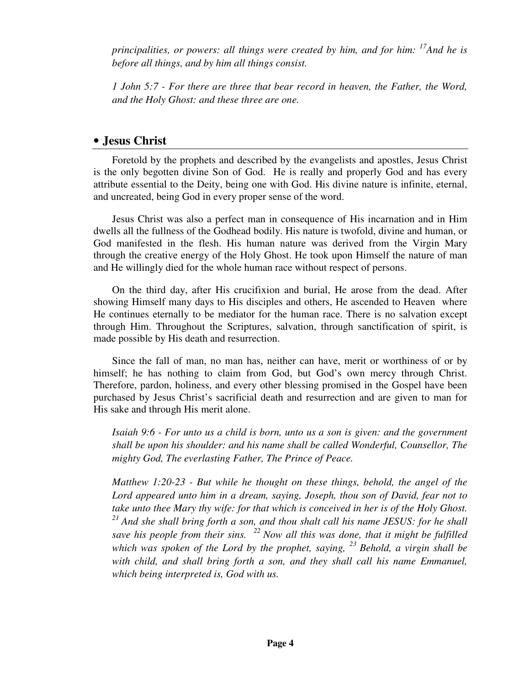*principalities, or powers: all things were created by him, and for him: <sup>17</sup>And he is before all things, and by him all things consist.* 

*1 John 5:7 - For there are three that bear record in heaven, the Father, the Word, and the Holy Ghost: and these three are one.* 

#### • **Jesus Christ**

Foretold by the prophets and described by the evangelists and apostles, Jesus Christ is the only begotten divine Son of God. He is really and properly God and has every attribute essential to the Deity, being one with God. His divine nature is infinite, eternal, and uncreated, being God in every proper sense of the word.

Jesus Christ was also a perfect man in consequence of His incarnation and in Him dwells all the fullness of the Godhead bodily. His nature is twofold, divine and human, or God manifested in the flesh. His human nature was derived from the Virgin Mary through the creative energy of the Holy Ghost. He took upon Himself the nature of man and He willingly died for the whole human race without respect of persons.

On the third day, after His crucifixion and burial, He arose from the dead. After showing Himself many days to His disciples and others, He ascended to Heaven where He continues eternally to be mediator for the human race. There is no salvation except through Him. Throughout the Scriptures, salvation, through sanctification of spirit, is made possible by His death and resurrection.

Since the fall of man, no man has, neither can have, merit or worthiness of or by himself; he has nothing to claim from God, but God's own mercy through Christ. Therefore, pardon, holiness, and every other blessing promised in the Gospel have been purchased by Jesus Christ's sacrificial death and resurrection and are given to man for His sake and through His merit alone.

*Isaiah 9:6 - For unto us a child is born, unto us a son is given: and the government shall be upon his shoulder: and his name shall be called Wonderful, Counsellor, The mighty God, The everlasting Father, The Prince of Peace.* 

*Matthew 1:20-23 - But while he thought on these things, behold, the angel of the Lord appeared unto him in a dream, saying, Joseph, thou son of David, fear not to take unto thee Mary thy wife: for that which is conceived in her is of the Holy Ghost. <sup>21</sup>And she shall bring forth a son, and thou shalt call his name JESUS: for he shall save his people from their sins. <sup>22</sup>Now all this was done, that it might be fulfilled which was spoken of the Lord by the prophet, saying, <sup>23</sup>Behold, a virgin shall be*  with child, and shall bring forth a son, and they shall call his name Emmanuel, *which being interpreted is, God with us.*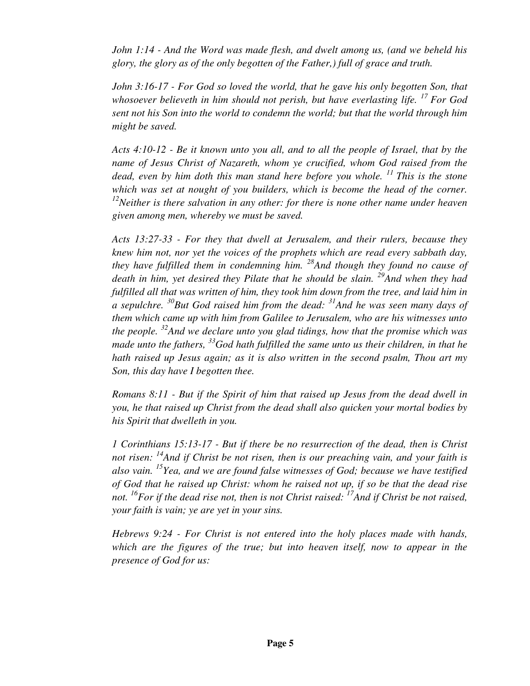*John 1:14 - And the Word was made flesh, and dwelt among us, (and we beheld his glory, the glory as of the only begotten of the Father,) full of grace and truth.* 

*John 3:16-17 - For God so loved the world, that he gave his only begotten Son, that whosoever believeth in him should not perish, but have everlasting life. <sup>17</sup>For God sent not his Son into the world to condemn the world; but that the world through him might be saved.* 

*Acts 4:10-12 - Be it known unto you all, and to all the people of Israel, that by the name of Jesus Christ of Nazareth, whom ye crucified, whom God raised from the dead, even by him doth this man stand here before you whole. <sup>11</sup>This is the stone which was set at nought of you builders, which is become the head of the corner. <sup>12</sup>Neither is there salvation in any other: for there is none other name under heaven given among men, whereby we must be saved.* 

*Acts 13:27-33 - For they that dwell at Jerusalem, and their rulers, because they knew him not, nor yet the voices of the prophets which are read every sabbath day, they have fulfilled them in condemning him. <sup>28</sup>And though they found no cause of death in him, yet desired they Pilate that he should be slain. <sup>29</sup>And when they had*  fulfilled all that was written of him, they took him down from the tree, and laid him in *a sepulchre. <sup>30</sup>But God raised him from the dead: <sup>31</sup>And he was seen many days of them which came up with him from Galilee to Jerusalem, who are his witnesses unto the people. <sup>32</sup>And we declare unto you glad tidings, how that the promise which was made unto the fathers, <sup>33</sup>God hath fulfilled the same unto us their children, in that he hath raised up Jesus again; as it is also written in the second psalm, Thou art my Son, this day have I begotten thee.* 

*Romans 8:11 - But if the Spirit of him that raised up Jesus from the dead dwell in you, he that raised up Christ from the dead shall also quicken your mortal bodies by his Spirit that dwelleth in you.* 

*1 Corinthians 15:13-17 - But if there be no resurrection of the dead, then is Christ not risen: <sup>14</sup>And if Christ be not risen, then is our preaching vain, and your faith is also vain. <sup>15</sup>Yea, and we are found false witnesses of God; because we have testified of God that he raised up Christ: whom he raised not up, if so be that the dead rise not. <sup>16</sup>For if the dead rise not, then is not Christ raised: <sup>17</sup>And if Christ be not raised, your faith is vain; ye are yet in your sins.* 

*Hebrews 9:24 - For Christ is not entered into the holy places made with hands, which are the figures of the true; but into heaven itself, now to appear in the presence of God for us:*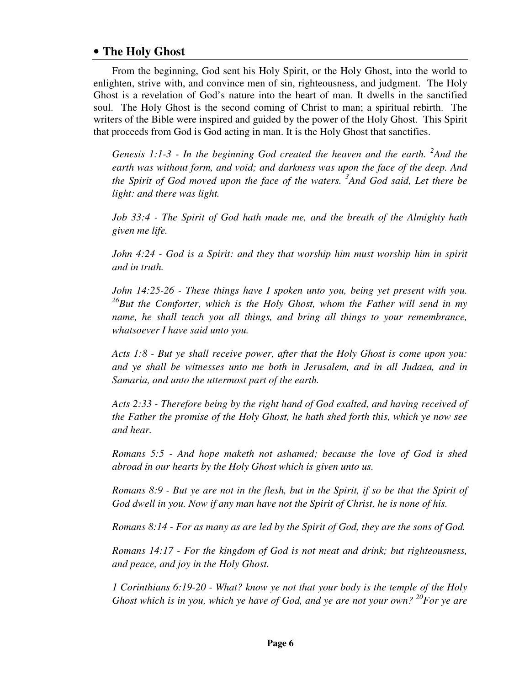#### • **The Holy Ghost**

From the beginning, God sent his Holy Spirit, or the Holy Ghost, into the world to enlighten, strive with, and convince men of sin, righteousness, and judgment. The Holy Ghost is a revelation of God's nature into the heart of man. It dwells in the sanctified soul. The Holy Ghost is the second coming of Christ to man; a spiritual rebirth. The writers of the Bible were inspired and guided by the power of the Holy Ghost. This Spirit that proceeds from God is God acting in man. It is the Holy Ghost that sanctifies.

Genesis 1:1-3 - In the beginning God created the heaven and the earth. <sup>2</sup>And the *earth was without form, and void; and darkness was upon the face of the deep. And the Spirit of God moved upon the face of the waters. 3 And God said, Let there be light: and there was light.* 

*Job 33:4 - The Spirit of God hath made me, and the breath of the Almighty hath given me life.* 

*John 4:24 - God is a Spirit: and they that worship him must worship him in spirit and in truth.* 

*John 14:25-26 - These things have I spoken unto you, being yet present with you. <sup>26</sup>But the Comforter, which is the Holy Ghost, whom the Father will send in my name, he shall teach you all things, and bring all things to your remembrance, whatsoever I have said unto you.* 

*Acts 1:8 - But ye shall receive power, after that the Holy Ghost is come upon you: and ye shall be witnesses unto me both in Jerusalem, and in all Judaea, and in Samaria, and unto the uttermost part of the earth.* 

*Acts 2:33 - Therefore being by the right hand of God exalted, and having received of the Father the promise of the Holy Ghost, he hath shed forth this, which ye now see and hear.* 

*Romans 5:5 - And hope maketh not ashamed; because the love of God is shed abroad in our hearts by the Holy Ghost which is given unto us.* 

*Romans 8:9 - But ye are not in the flesh, but in the Spirit, if so be that the Spirit of God dwell in you. Now if any man have not the Spirit of Christ, he is none of his.* 

*Romans 8:14 - For as many as are led by the Spirit of God, they are the sons of God.* 

*Romans 14:17 - For the kingdom of God is not meat and drink; but righteousness, and peace, and joy in the Holy Ghost.* 

*1 Corinthians 6:19-20 - What? know ye not that your body is the temple of the Holy Ghost which is in you, which ye have of God, and ye are not your own? <sup>20</sup>For ye are*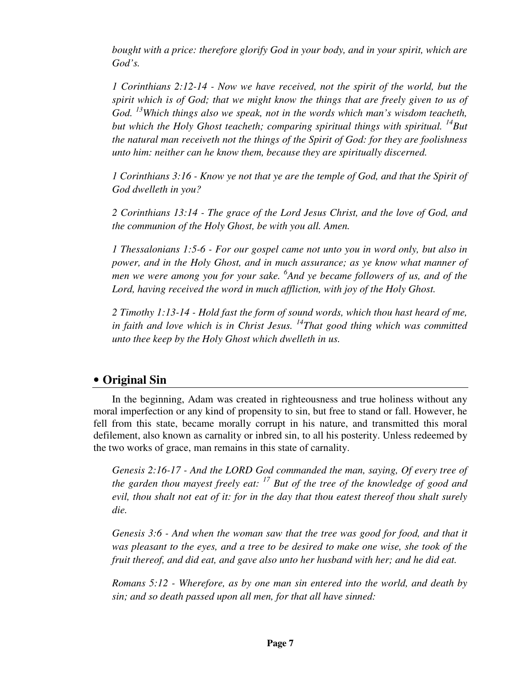*bought with a price: therefore glorify God in your body, and in your spirit, which are God's.* 

*1 Corinthians 2:12-14 - Now we have received, not the spirit of the world, but the spirit which is of God; that we might know the things that are freely given to us of God. <sup>13</sup>Which things also we speak, not in the words which man's wisdom teacheth, but which the Holy Ghost teacheth; comparing spiritual things with spiritual. <sup>14</sup>But the natural man receiveth not the things of the Spirit of God: for they are foolishness unto him: neither can he know them, because they are spiritually discerned.* 

*1 Corinthians 3:16 - Know ye not that ye are the temple of God, and that the Spirit of God dwelleth in you?* 

*2 Corinthians 13:14 - The grace of the Lord Jesus Christ, and the love of God, and the communion of the Holy Ghost, be with you all. Amen.* 

*1 Thessalonians 1:5-6 - For our gospel came not unto you in word only, but also in power, and in the Holy Ghost, and in much assurance; as ye know what manner of men we were among you for your sake. <sup>6</sup> And ye became followers of us, and of the Lord, having received the word in much affliction, with joy of the Holy Ghost.* 

*2 Timothy 1:13-14 - Hold fast the form of sound words, which thou hast heard of me, in faith and love which is in Christ Jesus. <sup>14</sup>That good thing which was committed unto thee keep by the Holy Ghost which dwelleth in us.* 

#### • **Original Sin**

In the beginning, Adam was created in righteousness and true holiness without any moral imperfection or any kind of propensity to sin, but free to stand or fall. However, he fell from this state, became morally corrupt in his nature, and transmitted this moral defilement, also known as carnality or inbred sin, to all his posterity. Unless redeemed by the two works of grace, man remains in this state of carnality.

*Genesis 2:16-17 - And the LORD God commanded the man, saying, Of every tree of the garden thou mayest freely eat: <sup>17</sup> But of the tree of the knowledge of good and evil, thou shalt not eat of it: for in the day that thou eatest thereof thou shalt surely die.* 

*Genesis 3:6 - And when the woman saw that the tree was good for food, and that it was pleasant to the eyes, and a tree to be desired to make one wise, she took of the fruit thereof, and did eat, and gave also unto her husband with her; and he did eat.* 

*Romans 5:12 - Wherefore, as by one man sin entered into the world, and death by sin; and so death passed upon all men, for that all have sinned:*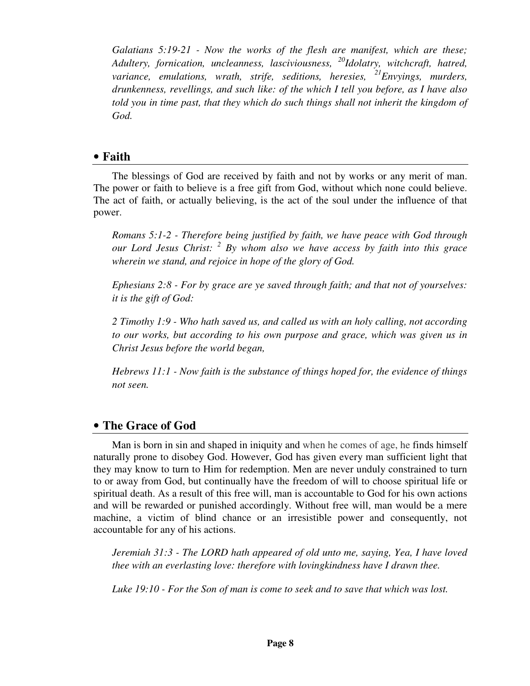*Galatians 5:19-21 - Now the works of the flesh are manifest, which are these; Adultery, fornication, uncleanness, lasciviousness, <sup>20</sup>Idolatry, witchcraft, hatred, variance, emulations, wrath, strife, seditions, heresies, <sup>21</sup>Envyings, murders, drunkenness, revellings, and such like: of the which I tell you before, as I have also told you in time past, that they which do such things shall not inherit the kingdom of God.* 

#### • **Faith**

The blessings of God are received by faith and not by works or any merit of man. The power or faith to believe is a free gift from God, without which none could believe. The act of faith, or actually believing, is the act of the soul under the influence of that power.

*Romans 5:1-2 - Therefore being justified by faith, we have peace with God through our Lord Jesus Christ: <sup>2</sup> By whom also we have access by faith into this grace wherein we stand, and rejoice in hope of the glory of God.* 

*Ephesians 2:8 - For by grace are ye saved through faith; and that not of yourselves: it is the gift of God:* 

*2 Timothy 1:9 - Who hath saved us, and called us with an holy calling, not according to our works, but according to his own purpose and grace, which was given us in Christ Jesus before the world began,* 

*Hebrews 11:1 - Now faith is the substance of things hoped for, the evidence of things not seen.* 

#### • **The Grace of God**

Man is born in sin and shaped in iniquity and when he comes of age, he finds himself naturally prone to disobey God. However, God has given every man sufficient light that they may know to turn to Him for redemption. Men are never unduly constrained to turn to or away from God, but continually have the freedom of will to choose spiritual life or spiritual death. As a result of this free will, man is accountable to God for his own actions and will be rewarded or punished accordingly. Without free will, man would be a mere machine, a victim of blind chance or an irresistible power and consequently, not accountable for any of his actions.

*Jeremiah 31:3 - The LORD hath appeared of old unto me, saying, Yea, I have loved thee with an everlasting love: therefore with lovingkindness have I drawn thee.* 

*Luke 19:10 - For the Son of man is come to seek and to save that which was lost.*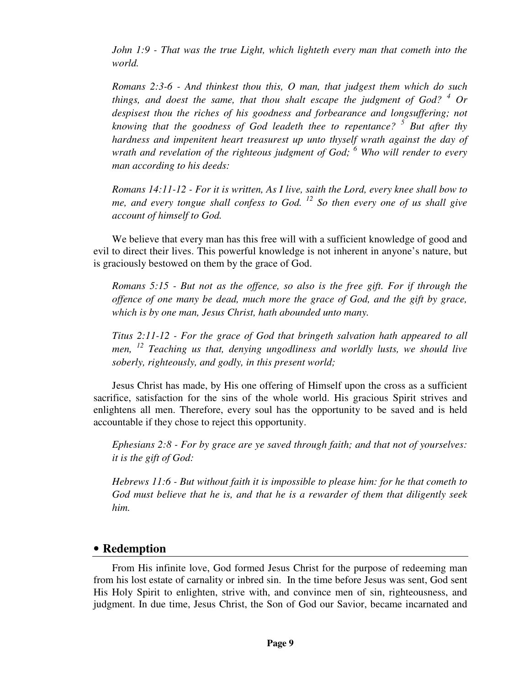*John 1:9 - That was the true Light, which lighteth every man that cometh into the world.* 

*Romans 2:3-6 - And thinkest thou this, O man, that judgest them which do such*  things, and doest the same, that thou shalt escape the judgment of  $God$ ?  $\frac{4}{ }$  Or *despisest thou the riches of his goodness and forbearance and longsuffering; not knowing that the goodness of God leadeth thee to repentance? <sup>5</sup> But after thy hardness and impenitent heart treasurest up unto thyself wrath against the day of wrath and revelation of the righteous judgment of God; <sup>6</sup> Who will render to every man according to his deeds:* 

*Romans 14:11-12 - For it is written, As I live, saith the Lord, every knee shall bow to me, and every tongue shall confess to God. <sup>12</sup> So then every one of us shall give account of himself to God.* 

We believe that every man has this free will with a sufficient knowledge of good and evil to direct their lives. This powerful knowledge is not inherent in anyone's nature, but is graciously bestowed on them by the grace of God.

*Romans 5:15 - But not as the offence, so also is the free gift. For if through the offence of one many be dead, much more the grace of God, and the gift by grace, which is by one man, Jesus Christ, hath abounded unto many.* 

*Titus 2:11-12 - For the grace of God that bringeth salvation hath appeared to all men, <sup>12</sup> Teaching us that, denying ungodliness and worldly lusts, we should live soberly, righteously, and godly, in this present world;* 

Jesus Christ has made, by His one offering of Himself upon the cross as a sufficient sacrifice, satisfaction for the sins of the whole world. His gracious Spirit strives and enlightens all men. Therefore, every soul has the opportunity to be saved and is held accountable if they chose to reject this opportunity.

*Ephesians 2:8 - For by grace are ye saved through faith; and that not of yourselves: it is the gift of God:* 

*Hebrews 11:6 - But without faith it is impossible to please him: for he that cometh to God must believe that he is, and that he is a rewarder of them that diligently seek him.* 

#### • **Redemption**

From His infinite love, God formed Jesus Christ for the purpose of redeeming man from his lost estate of carnality or inbred sin. In the time before Jesus was sent, God sent His Holy Spirit to enlighten, strive with, and convince men of sin, righteousness, and judgment. In due time, Jesus Christ, the Son of God our Savior, became incarnated and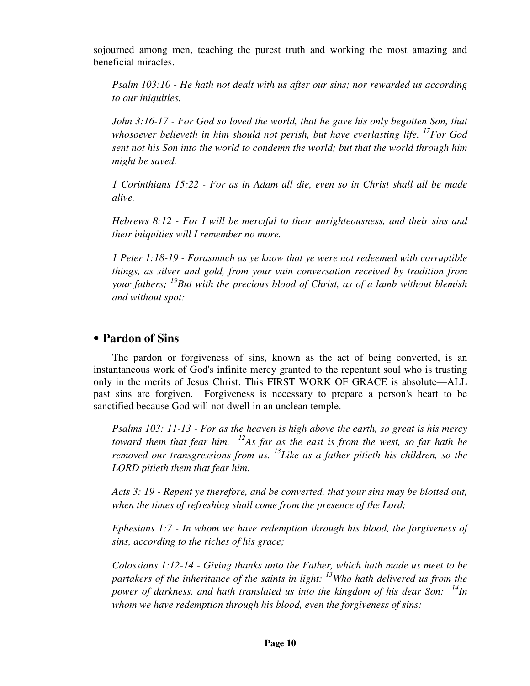sojourned among men, teaching the purest truth and working the most amazing and beneficial miracles.

*Psalm 103:10 - He hath not dealt with us after our sins; nor rewarded us according to our iniquities.* 

*John 3:16-17 - For God so loved the world, that he gave his only begotten Son, that whosoever believeth in him should not perish, but have everlasting life. <sup>17</sup>For God sent not his Son into the world to condemn the world; but that the world through him might be saved.* 

*1 Corinthians 15:22 - For as in Adam all die, even so in Christ shall all be made alive.* 

*Hebrews 8:12 - For I will be merciful to their unrighteousness, and their sins and their iniquities will I remember no more.* 

*1 Peter 1:18-19 - Forasmuch as ye know that ye were not redeemed with corruptible things, as silver and gold, from your vain conversation received by tradition from your fathers; <sup>19</sup>But with the precious blood of Christ, as of a lamb without blemish and without spot:* 

#### • **Pardon of Sins**

The pardon or forgiveness of sins, known as the act of being converted, is an instantaneous work of God's infinite mercy granted to the repentant soul who is trusting only in the merits of Jesus Christ. This FIRST WORK OF GRACE is absolute—ALL past sins are forgiven. Forgiveness is necessary to prepare a person's heart to be sanctified because God will not dwell in an unclean temple.

*Psalms 103: 11-13 - For as the heaven is high above the earth, so great is his mercy toward them that fear him. <sup>12</sup>As far as the east is from the west, so far hath he removed our transgressions from us. <sup>13</sup>Like as a father pitieth his children, so the LORD pitieth them that fear him.* 

*Acts 3: 19 - Repent ye therefore, and be converted, that your sins may be blotted out, when the times of refreshing shall come from the presence of the Lord;* 

*Ephesians 1:7 - In whom we have redemption through his blood, the forgiveness of sins, according to the riches of his grace;* 

*Colossians 1:12-14 - Giving thanks unto the Father, which hath made us meet to be partakers of the inheritance of the saints in light: <sup>13</sup>Who hath delivered us from the power of darkness, and hath translated us into the kingdom of his dear Son: <sup>14</sup>In whom we have redemption through his blood, even the forgiveness of sins:*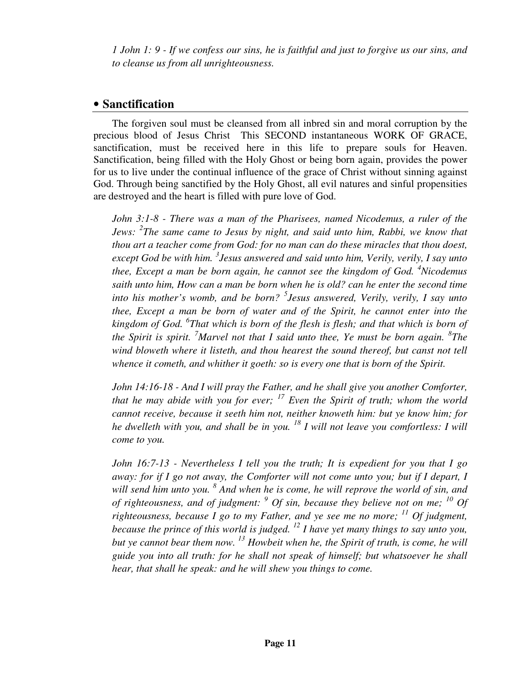*1 John 1: 9 - If we confess our sins, he is faithful and just to forgive us our sins, and to cleanse us from all unrighteousness.* 

### • **Sanctification**

The forgiven soul must be cleansed from all inbred sin and moral corruption by the precious blood of Jesus Christ This SECOND instantaneous WORK OF GRACE, sanctification, must be received here in this life to prepare souls for Heaven. Sanctification, being filled with the Holy Ghost or being born again, provides the power for us to live under the continual influence of the grace of Christ without sinning against God. Through being sanctified by the Holy Ghost, all evil natures and sinful propensities are destroyed and the heart is filled with pure love of God.

*John 3:1-8 - There was a man of the Pharisees, named Nicodemus, a ruler of the Jews: <sup>2</sup> The same came to Jesus by night, and said unto him, Rabbi, we know that thou art a teacher come from God: for no man can do these miracles that thou doest,*  except God be with him. <sup>3</sup> Jesus answered and said unto him, Verily, verily, I say unto *thee, Except a man be born again, he cannot see the kingdom of God. <sup>4</sup>Nicodemus saith unto him, How can a man be born when he is old? can he enter the second time into his mother's womb, and be born? <sup>5</sup> Jesus answered, Verily, verily, I say unto thee, Except a man be born of water and of the Spirit, he cannot enter into the kingdom of God. <sup>6</sup> That which is born of the flesh is flesh; and that which is born of the Spirit is spirit. <sup>7</sup>Marvel not that I said unto thee, Ye must be born again. <sup>8</sup> The wind bloweth where it listeth, and thou hearest the sound thereof, but canst not tell whence it cometh, and whither it goeth: so is every one that is born of the Spirit.* 

*John 14:16-18 - And I will pray the Father, and he shall give you another Comforter, that he may abide with you for ever; <sup>17</sup> Even the Spirit of truth; whom the world cannot receive, because it seeth him not, neither knoweth him: but ye know him; for he dwelleth with you, and shall be in you. <sup>18</sup> I will not leave you comfortless: I will come to you.* 

*John 16:7-13 - Nevertheless I tell you the truth; It is expedient for you that I go away: for if I go not away, the Comforter will not come unto you; but if I depart, I* will send him unto you. <sup>8</sup> And when he is come, he will reprove the world of sin, and *of righteousness, and of judgment:*  $\degree$  *Of sin, because they believe not on me;*  $\degree$  *Of righteousness, because I go to my Father, and ye see me no more; <sup>11</sup> Of judgment, because the prince of this world is judged. <sup>12</sup> I have yet many things to say unto you, but ye cannot bear them now. <sup>13</sup> Howbeit when he, the Spirit of truth, is come, he will guide you into all truth: for he shall not speak of himself; but whatsoever he shall hear, that shall he speak: and he will shew you things to come.*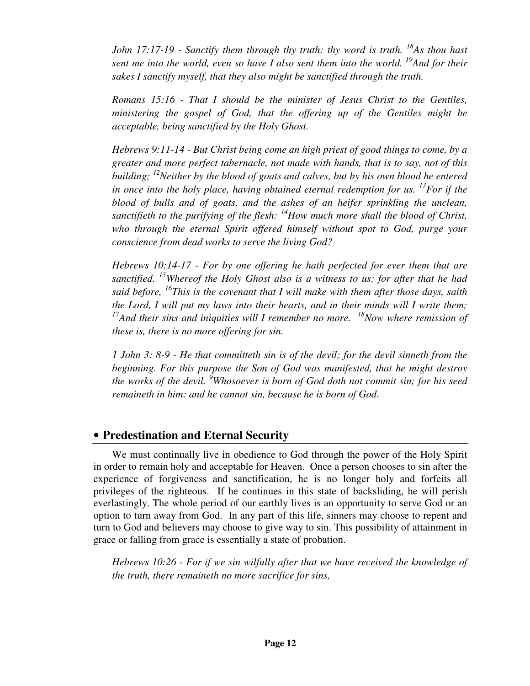*John 17:17-19 - Sanctify them through thy truth: thy word is truth.* <sup>18</sup>*As thou hast sent me into the world, even so have I also sent them into the world. <sup>19</sup>And for their sakes I sanctify myself, that they also might be sanctified through the truth.* 

*Romans 15:16 - That I should be the minister of Jesus Christ to the Gentiles, ministering the gospel of God, that the offering up of the Gentiles might be acceptable, being sanctified by the Holy Ghost.* 

*Hebrews 9:11-14 - But Christ being come an high priest of good things to come, by a greater and more perfect tabernacle, not made with hands, that is to say, not of this building; <sup>12</sup>Neither by the blood of goats and calves, but by his own blood he entered in once into the holy place, having obtained eternal redemption for us.* <sup>13</sup>*For if the blood of bulls and of goats, and the ashes of an heifer sprinkling the unclean, sanctifieth to the purifying of the flesh: <sup>14</sup>How much more shall the blood of Christ, who through the eternal Spirit offered himself without spot to God, purge your conscience from dead works to serve the living God?*

*Hebrews 10:14-17 - For by one offering he hath perfected for ever them that are sanctified. <sup>15</sup>Whereof the Holy Ghost also is a witness to us: for after that he had said before, <sup>16</sup>This is the covenant that I will make with them after those days, saith the Lord, I will put my laws into their hearts, and in their minds will I write them;*  <sup>17</sup>*And their sins and iniquities will I remember no more.* <sup>18</sup>*Now where remission of these is, there is no more offering for sin.* 

*1 John 3: 8-9 - He that committeth sin is of the devil; for the devil sinneth from the beginning. For this purpose the Son of God was manifested, that he might destroy the works of the devil. <sup>9</sup>Whosoever is born of God doth not commit sin; for his seed remaineth in him: and he cannot sin, because he is born of God.* 

### • **Predestination and Eternal Security**

We must continually live in obedience to God through the power of the Holy Spirit in order to remain holy and acceptable for Heaven. Once a person chooses to sin after the experience of forgiveness and sanctification, he is no longer holy and forfeits all privileges of the righteous. If he continues in this state of backsliding, he will perish everlastingly. The whole period of our earthly lives is an opportunity to serve God or an option to turn away from God. In any part of this life, sinners may choose to repent and turn to God and believers may choose to give way to sin. This possibility of attainment in grace or falling from grace is essentially a state of probation.

*Hebrews 10:26 - For if we sin wilfully after that we have received the knowledge of the truth, there remaineth no more sacrifice for sins,*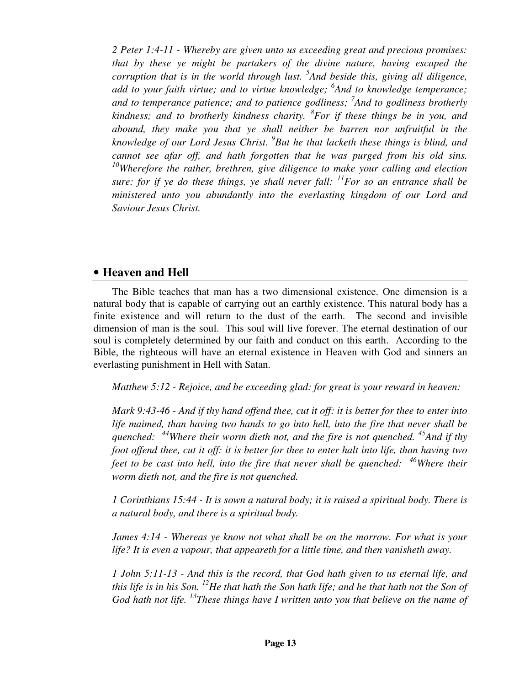*2 Peter 1:4-11 - Whereby are given unto us exceeding great and precious promises: that by these ye might be partakers of the divine nature, having escaped the corruption that is in the world through lust. <sup>5</sup> And beside this, giving all diligence, add to your faith virtue; and to virtue knowledge; <sup>6</sup> And to knowledge temperance; and to temperance patience; and to patience godliness; 7 And to godliness brotherly kindness; and to brotherly kindness charity. <sup>8</sup> For if these things be in you, and abound, they make you that ye shall neither be barren nor unfruitful in the knowledge of our Lord Jesus Christ. <sup>9</sup> But he that lacketh these things is blind, and cannot see afar off, and hath forgotten that he was purged from his old sins. <sup>10</sup>Wherefore the rather, brethren, give diligence to make your calling and election sure: for if ye do these things, ye shall never fall: <sup>11</sup>For so an entrance shall be ministered unto you abundantly into the everlasting kingdom of our Lord and Saviour Jesus Christ.* 

#### • **Heaven and Hell**

The Bible teaches that man has a two dimensional existence. One dimension is a natural body that is capable of carrying out an earthly existence. This natural body has a finite existence and will return to the dust of the earth. The second and invisible dimension of man is the soul. This soul will live forever. The eternal destination of our soul is completely determined by our faith and conduct on this earth. According to the Bible, the righteous will have an eternal existence in Heaven with God and sinners an everlasting punishment in Hell with Satan.

*Matthew 5:12 - Rejoice, and be exceeding glad: for great is your reward in heaven:* 

*Mark 9:43-46 - And if thy hand offend thee, cut it off: it is better for thee to enter into life maimed, than having two hands to go into hell, into the fire that never shall be quenched: <sup>44</sup>Where their worm dieth not, and the fire is not quenched. <sup>45</sup>And if thy foot offend thee, cut it off: it is better for thee to enter halt into life, than having two feet to be cast into hell, into the fire that never shall be quenched: <sup>46</sup>Where their worm dieth not, and the fire is not quenched.* 

*1 Corinthians 15:44 - It is sown a natural body; it is raised a spiritual body. There is a natural body, and there is a spiritual body.* 

*James 4:14 - Whereas ye know not what shall be on the morrow. For what is your life? It is even a vapour, that appeareth for a little time, and then vanisheth away.* 

*1 John 5:11-13 - And this is the record, that God hath given to us eternal life, and this life is in his Son. <sup>12</sup>He that hath the Son hath life; and he that hath not the Son of God hath not life. <sup>13</sup>These things have I written unto you that believe on the name of*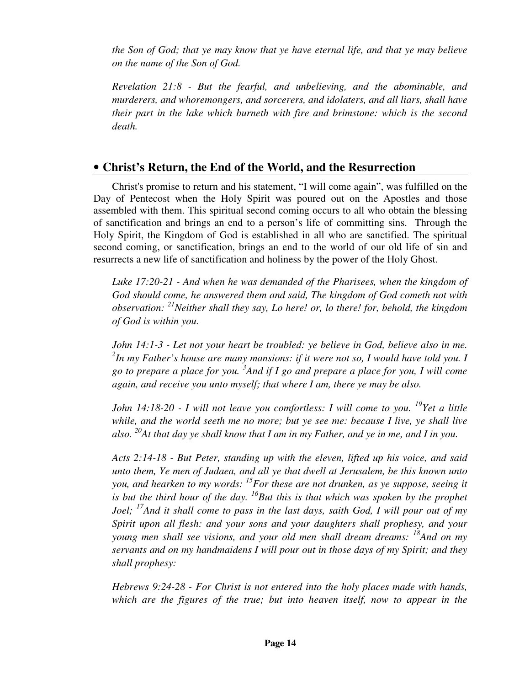*the Son of God; that ye may know that ye have eternal life, and that ye may believe on the name of the Son of God.* 

*Revelation 21:8 - But the fearful, and unbelieving, and the abominable, and murderers, and whoremongers, and sorcerers, and idolaters, and all liars, shall have their part in the lake which burneth with fire and brimstone: which is the second death.* 

### • **Christ's Return, the End of the World, and the Resurrection**

Christ's promise to return and his statement, "I will come again", was fulfilled on the Day of Pentecost when the Holy Spirit was poured out on the Apostles and those assembled with them. This spiritual second coming occurs to all who obtain the blessing of sanctification and brings an end to a person's life of committing sins. Through the Holy Spirit, the Kingdom of God is established in all who are sanctified. The spiritual second coming, or sanctification, brings an end to the world of our old life of sin and resurrects a new life of sanctification and holiness by the power of the Holy Ghost.

*Luke 17:20-21 - And when he was demanded of the Pharisees, when the kingdom of God should come, he answered them and said, The kingdom of God cometh not with observation: <sup>21</sup>Neither shall they say, Lo here! or, lo there! for, behold, the kingdom of God is within you.* 

*John 14:1-3 - Let not your heart be troubled: ye believe in God, believe also in me. 2 In my Father's house are many mansions: if it were not so, I would have told you. I go to prepare a place for you. <sup>3</sup> And if I go and prepare a place for you, I will come again, and receive you unto myself; that where I am, there ye may be also.* 

*John 14:18-20 - I will not leave you comfortless: I will come to you.* <sup>19</sup>*Yet a little while, and the world seeth me no more; but ye see me: because I live, ye shall live also. <sup>20</sup>At that day ye shall know that I am in my Father, and ye in me, and I in you.* 

*Acts 2:14-18 - But Peter, standing up with the eleven, lifted up his voice, and said unto them, Ye men of Judaea, and all ye that dwell at Jerusalem, be this known unto you, and hearken to my words: <sup>15</sup>For these are not drunken, as ye suppose, seeing it is but the third hour of the day. <sup>16</sup>But this is that which was spoken by the prophet Joel; <sup>17</sup>And it shall come to pass in the last days, saith God, I will pour out of my Spirit upon all flesh: and your sons and your daughters shall prophesy, and your young men shall see visions, and your old men shall dream dreams: <sup>18</sup>And on my servants and on my handmaidens I will pour out in those days of my Spirit; and they shall prophesy:* 

*Hebrews 9:24-28 - For Christ is not entered into the holy places made with hands, which are the figures of the true; but into heaven itself, now to appear in the*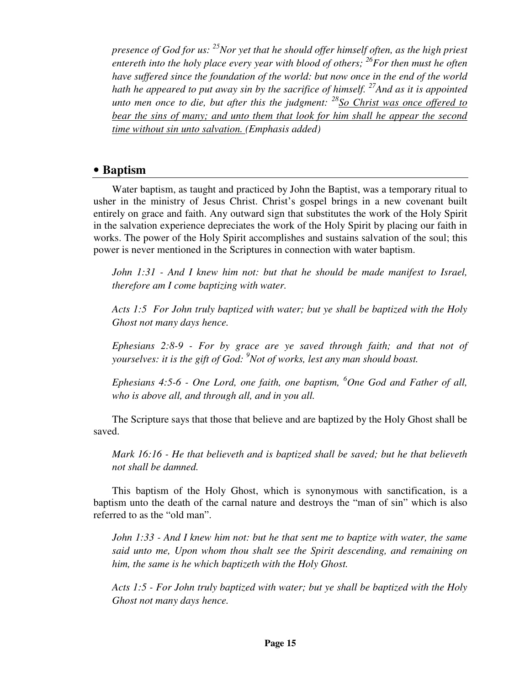*presence of God for us: <sup>25</sup>Nor yet that he should offer himself often, as the high priest entereth into the holy place every year with blood of others; <sup>26</sup>For then must he often have suffered since the foundation of the world: but now once in the end of the world hath he appeared to put away sin by the sacrifice of himself. <sup>27</sup>And as it is appointed unto men once to die, but after this the judgment: <sup>28</sup>So Christ was once offered to bear the sins of many; and unto them that look for him shall he appear the second time without sin unto salvation. (Emphasis added)* 

#### • **Baptism**

Water baptism, as taught and practiced by John the Baptist, was a temporary ritual to usher in the ministry of Jesus Christ. Christ's gospel brings in a new covenant built entirely on grace and faith. Any outward sign that substitutes the work of the Holy Spirit in the salvation experience depreciates the work of the Holy Spirit by placing our faith in works. The power of the Holy Spirit accomplishes and sustains salvation of the soul; this power is never mentioned in the Scriptures in connection with water baptism.

*John 1:31 - And I knew him not: but that he should be made manifest to Israel, therefore am I come baptizing with water.* 

*Acts 1:5 For John truly baptized with water; but ye shall be baptized with the Holy Ghost not many days hence.* 

*Ephesians 2:8-9 - For by grace are ye saved through faith; and that not of yourselves: it is the gift of God: <sup>9</sup>Not of works, lest any man should boast.* 

*Ephesians 4:5-6 - One Lord, one faith, one baptism, <sup>6</sup>One God and Father of all, who is above all, and through all, and in you all.* 

The Scripture says that those that believe and are baptized by the Holy Ghost shall be saved.

*Mark 16:16 - He that believeth and is baptized shall be saved; but he that believeth not shall be damned.* 

This baptism of the Holy Ghost, which is synonymous with sanctification, is a baptism unto the death of the carnal nature and destroys the "man of sin" which is also referred to as the "old man".

*John 1:33 - And I knew him not: but he that sent me to baptize with water, the same said unto me, Upon whom thou shalt see the Spirit descending, and remaining on him, the same is he which baptizeth with the Holy Ghost.* 

*Acts 1:5 - For John truly baptized with water; but ye shall be baptized with the Holy Ghost not many days hence.*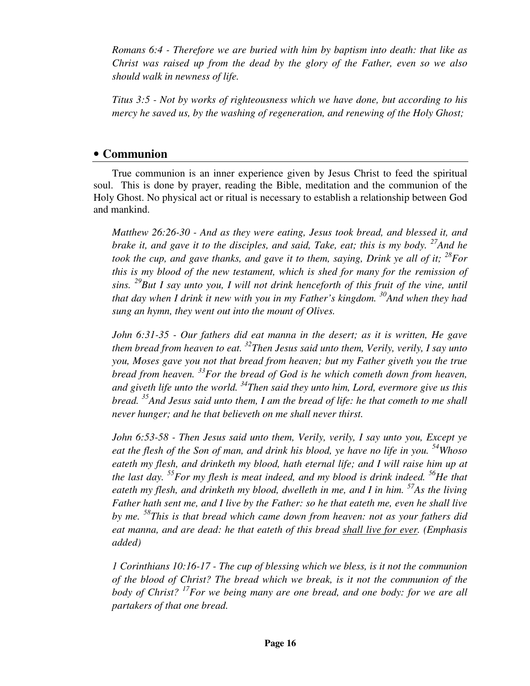*Romans 6:4 - Therefore we are buried with him by baptism into death: that like as Christ was raised up from the dead by the glory of the Father, even so we also should walk in newness of life.* 

*Titus 3:5 - Not by works of righteousness which we have done, but according to his mercy he saved us, by the washing of regeneration, and renewing of the Holy Ghost;* 

#### • **Communion**

True communion is an inner experience given by Jesus Christ to feed the spiritual soul. This is done by prayer, reading the Bible, meditation and the communion of the Holy Ghost. No physical act or ritual is necessary to establish a relationship between God and mankind.

*Matthew 26:26-30 - And as they were eating, Jesus took bread, and blessed it, and brake it, and gave it to the disciples, and said, Take, eat; this is my body. <sup>27</sup>And he took the cup, and gave thanks, and gave it to them, saying, Drink ye all of it;*  $^{28}$ *For this is my blood of the new testament, which is shed for many for the remission of sins. <sup>29</sup>But I say unto you, I will not drink henceforth of this fruit of the vine, until that day when I drink it new with you in my Father's kingdom. <sup>30</sup>And when they had sung an hymn, they went out into the mount of Olives.* 

*John 6:31-35 - Our fathers did eat manna in the desert; as it is written, He gave them bread from heaven to eat. <sup>32</sup>Then Jesus said unto them, Verily, verily, I say unto you, Moses gave you not that bread from heaven; but my Father giveth you the true bread from heaven. <sup>33</sup>For the bread of God is he which cometh down from heaven, and giveth life unto the world. <sup>34</sup>Then said they unto him, Lord, evermore give us this bread. <sup>35</sup>And Jesus said unto them, I am the bread of life: he that cometh to me shall never hunger; and he that believeth on me shall never thirst.* 

*John 6:53-58 - Then Jesus said unto them, Verily, verily, I say unto you, Except ye eat the flesh of the Son of man, and drink his blood, ye have no life in you. <sup>54</sup>Whoso eateth my flesh, and drinketh my blood, hath eternal life; and I will raise him up at the last day. <sup>55</sup>For my flesh is meat indeed, and my blood is drink indeed. <sup>56</sup>He that eateth my flesh, and drinketh my blood, dwelleth in me, and I in him. <sup>57</sup>As the living Father hath sent me, and I live by the Father: so he that eateth me, even he shall live by me. <sup>58</sup>This is that bread which came down from heaven: not as your fathers did eat manna, and are dead: he that eateth of this bread shall live for ever. (Emphasis added)* 

*1 Corinthians 10:16-17 - The cup of blessing which we bless, is it not the communion of the blood of Christ? The bread which we break, is it not the communion of the body of Christ? <sup>17</sup>For we being many are one bread, and one body: for we are all partakers of that one bread.*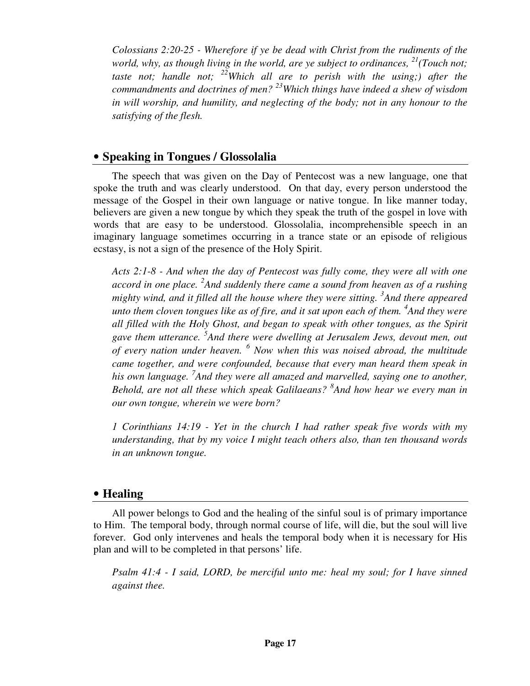*Colossians 2:20-25 - Wherefore if ye be dead with Christ from the rudiments of the world, why, as though living in the world, are ye subject to ordinances, <sup>21</sup>(Touch not; taste not; handle not; <sup>22</sup>Which all are to perish with the using;) after the commandments and doctrines of men? <sup>23</sup>Which things have indeed a shew of wisdom in will worship, and humility, and neglecting of the body; not in any honour to the satisfying of the flesh.* 

#### • **Speaking in Tongues / Glossolalia**

The speech that was given on the Day of Pentecost was a new language, one that spoke the truth and was clearly understood. On that day, every person understood the message of the Gospel in their own language or native tongue. In like manner today, believers are given a new tongue by which they speak the truth of the gospel in love with words that are easy to be understood. Glossolalia, incomprehensible speech in an imaginary language sometimes occurring in a trance state or an episode of religious ecstasy, is not a sign of the presence of the Holy Spirit.

*Acts 2:1-8 - And when the day of Pentecost was fully come, they were all with one accord in one place. <sup>2</sup> And suddenly there came a sound from heaven as of a rushing mighty wind, and it filled all the house where they were sitting. <sup>3</sup> And there appeared unto them cloven tongues like as of fire, and it sat upon each of them. <sup>4</sup> And they were all filled with the Holy Ghost, and began to speak with other tongues, as the Spirit gave them utterance. <sup>5</sup> And there were dwelling at Jerusalem Jews, devout men, out of every nation under heaven. <sup>6</sup> Now when this was noised abroad, the multitude came together, and were confounded, because that every man heard them speak in*  his own language. <sup>7</sup> And they were all amazed and marvelled, saying one to another, *Behold, are not all these which speak Galilaeans? <sup>8</sup> And how hear we every man in our own tongue, wherein we were born?* 

*1 Corinthians 14:19 - Yet in the church I had rather speak five words with my understanding, that by my voice I might teach others also, than ten thousand words in an unknown tongue.* 

#### • **Healing**

All power belongs to God and the healing of the sinful soul is of primary importance to Him. The temporal body, through normal course of life, will die, but the soul will live forever. God only intervenes and heals the temporal body when it is necessary for His plan and will to be completed in that persons' life.

*Psalm 41:4 - I said, LORD, be merciful unto me: heal my soul; for I have sinned against thee.*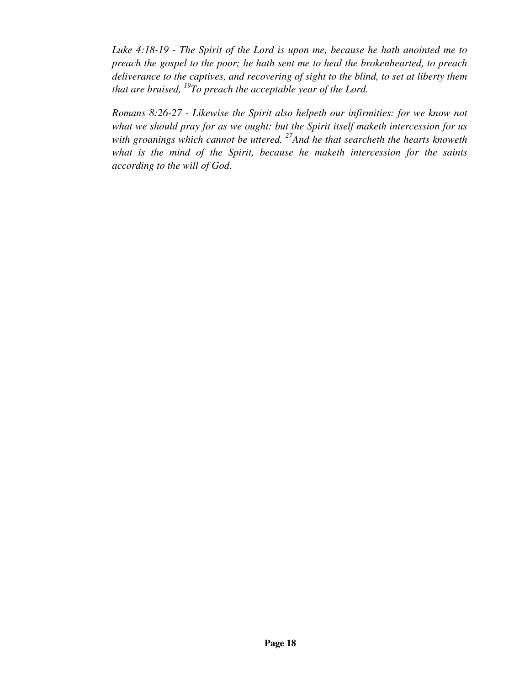*Luke 4:18-19 - The Spirit of the Lord is upon me, because he hath anointed me to preach the gospel to the poor; he hath sent me to heal the brokenhearted, to preach deliverance to the captives, and recovering of sight to the blind, to set at liberty them that are bruised, <sup>19</sup>To preach the acceptable year of the Lord.* 

*Romans 8:26-27 - Likewise the Spirit also helpeth our infirmities: for we know not what we should pray for as we ought: but the Spirit itself maketh intercession for us with groanings which cannot be uttered. <sup>27</sup>And he that searcheth the hearts knoweth what is the mind of the Spirit, because he maketh intercession for the saints according to the will of God.*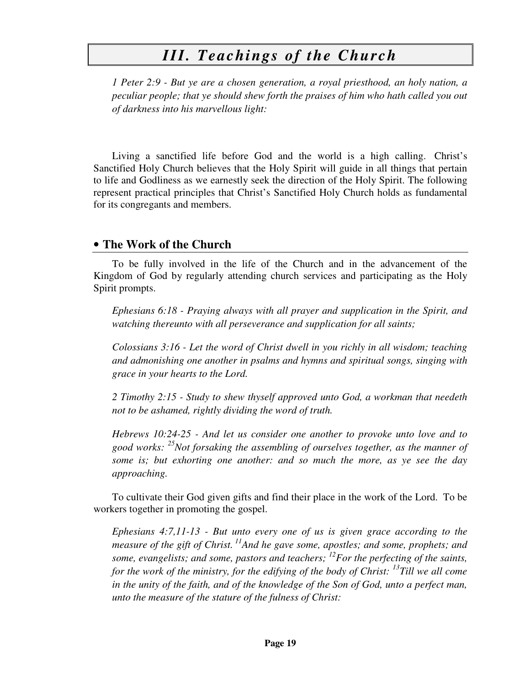## *III. Teachings of the Church*

*1 Peter 2:9 - But ye are a chosen generation, a royal priesthood, an holy nation, a peculiar people; that ye should shew forth the praises of him who hath called you out of darkness into his marvellous light:* 

Living a sanctified life before God and the world is a high calling. Christ's Sanctified Holy Church believes that the Holy Spirit will guide in all things that pertain to life and Godliness as we earnestly seek the direction of the Holy Spirit. The following represent practical principles that Christ's Sanctified Holy Church holds as fundamental for its congregants and members.

#### • **The Work of the Church**

To be fully involved in the life of the Church and in the advancement of the Kingdom of God by regularly attending church services and participating as the Holy Spirit prompts.

*Ephesians 6:18 - Praying always with all prayer and supplication in the Spirit, and watching thereunto with all perseverance and supplication for all saints;* 

*Colossians 3:16 - Let the word of Christ dwell in you richly in all wisdom; teaching and admonishing one another in psalms and hymns and spiritual songs, singing with grace in your hearts to the Lord.* 

*2 Timothy 2:15 - Study to shew thyself approved unto God, a workman that needeth not to be ashamed, rightly dividing the word of truth.* 

*Hebrews 10:24-25 - And let us consider one another to provoke unto love and to good works: <sup>25</sup>Not forsaking the assembling of ourselves together, as the manner of some is; but exhorting one another: and so much the more, as ye see the day approaching.* 

To cultivate their God given gifts and find their place in the work of the Lord. To be workers together in promoting the gospel.

*Ephesians 4:7,11-13 - But unto every one of us is given grace according to the measure of the gift of Christ.<sup>11</sup>And he gave some, apostles; and some, prophets; and some, evangelists; and some, pastors and teachers; <sup>12</sup>For the perfecting of the saints, for the work of the ministry, for the edifying of the body of Christ: <sup>13</sup>Till we all come in the unity of the faith, and of the knowledge of the Son of God, unto a perfect man, unto the measure of the stature of the fulness of Christ:*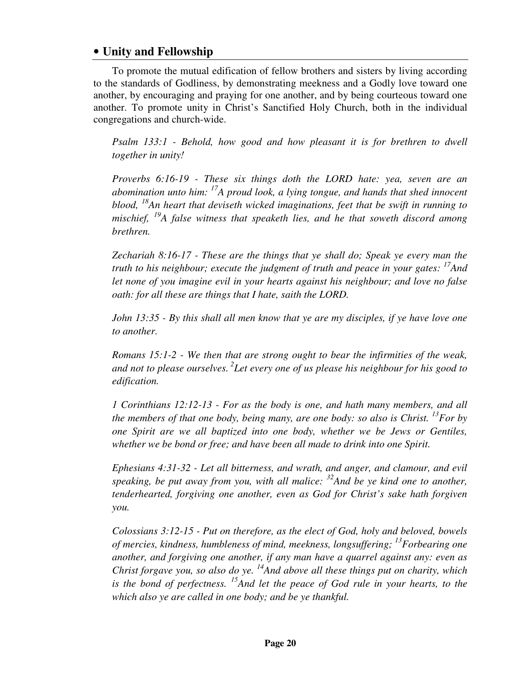### • **Unity and Fellowship**

To promote the mutual edification of fellow brothers and sisters by living according to the standards of Godliness, by demonstrating meekness and a Godly love toward one another, by encouraging and praying for one another, and by being courteous toward one another. To promote unity in Christ's Sanctified Holy Church, both in the individual congregations and church-wide.

*Psalm 133:1 - Behold, how good and how pleasant it is for brethren to dwell together in unity!* 

*Proverbs 6:16-19 - These six things doth the LORD hate: yea, seven are an abomination unto him: <sup>17</sup>A proud look, a lying tongue, and hands that shed innocent blood, <sup>18</sup>An heart that deviseth wicked imaginations, feet that be swift in running to mischief, <sup>19</sup>A false witness that speaketh lies, and he that soweth discord among brethren.* 

*Zechariah 8:16-17 - These are the things that ye shall do; Speak ye every man the truth to his neighbour; execute the judgment of truth and peace in your gates: <sup>17</sup>And let none of you imagine evil in your hearts against his neighbour; and love no false oath: for all these are things that I hate, saith the LORD.* 

*John 13:35 - By this shall all men know that ye are my disciples, if ye have love one to another.* 

*Romans 15:1-2 - We then that are strong ought to bear the infirmities of the weak, and not to please ourselves.<sup>2</sup>Let every one of us please his neighbour for his good to edification.* 

*1 Corinthians 12:12-13 - For as the body is one, and hath many members, and all the members of that one body, being many, are one body: so also is Christ. <sup>13</sup>For by one Spirit are we all baptized into one body, whether we be Jews or Gentiles, whether we be bond or free; and have been all made to drink into one Spirit.* 

*Ephesians 4:31-32 - Let all bitterness, and wrath, and anger, and clamour, and evil speaking, be put away from you, with all malice: <sup>32</sup>And be ye kind one to another, tenderhearted, forgiving one another, even as God for Christ's sake hath forgiven you.* 

*Colossians 3:12-15 - Put on therefore, as the elect of God, holy and beloved, bowels of mercies, kindness, humbleness of mind, meekness, longsuffering; <sup>13</sup>Forbearing one another, and forgiving one another, if any man have a quarrel against any: even as Christ forgave you, so also do ye. <sup>14</sup>And above all these things put on charity, which is the bond of perfectness. <sup>15</sup>And let the peace of God rule in your hearts, to the which also ye are called in one body; and be ye thankful.*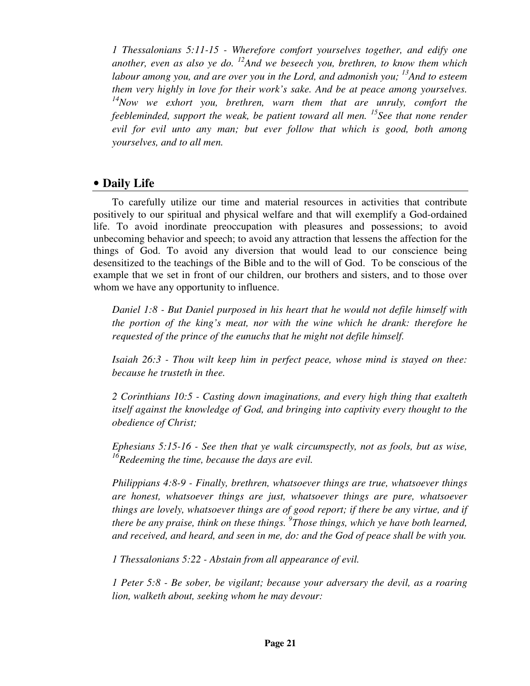*1 Thessalonians 5:11-15 - Wherefore comfort yourselves together, and edify one another, even as also ye do. <sup>12</sup>And we beseech you, brethren, to know them which labour among you, and are over you in the Lord, and admonish you; <sup>13</sup>And to esteem them very highly in love for their work's sake. And be at peace among yourselves. <sup>14</sup>Now we exhort you, brethren, warn them that are unruly, comfort the feebleminded, support the weak, be patient toward all men. <sup>15</sup>See that none render evil for evil unto any man; but ever follow that which is good, both among yourselves, and to all men.* 

#### • **Daily Life**

To carefully utilize our time and material resources in activities that contribute positively to our spiritual and physical welfare and that will exemplify a God-ordained life. To avoid inordinate preoccupation with pleasures and possessions; to avoid unbecoming behavior and speech; to avoid any attraction that lessens the affection for the things of God. To avoid any diversion that would lead to our conscience being desensitized to the teachings of the Bible and to the will of God. To be conscious of the example that we set in front of our children, our brothers and sisters, and to those over whom we have any opportunity to influence.

*Daniel 1:8 - But Daniel purposed in his heart that he would not defile himself with the portion of the king's meat, nor with the wine which he drank: therefore he requested of the prince of the eunuchs that he might not defile himself.* 

*Isaiah 26:3 - Thou wilt keep him in perfect peace, whose mind is stayed on thee: because he trusteth in thee.* 

*2 Corinthians 10:5 - Casting down imaginations, and every high thing that exalteth itself against the knowledge of God, and bringing into captivity every thought to the obedience of Christ;* 

*Ephesians 5:15-16 - See then that ye walk circumspectly, not as fools, but as wise, <sup>16</sup>Redeeming the time, because the days are evil.* 

*Philippians 4:8-9 - Finally, brethren, whatsoever things are true, whatsoever things are honest, whatsoever things are just, whatsoever things are pure, whatsoever things are lovely, whatsoever things are of good report; if there be any virtue, and if there be any praise, think on these things. <sup>9</sup> Those things, which ye have both learned, and received, and heard, and seen in me, do: and the God of peace shall be with you.* 

*1 Thessalonians 5:22 - Abstain from all appearance of evil.* 

*1 Peter 5:8 - Be sober, be vigilant; because your adversary the devil, as a roaring lion, walketh about, seeking whom he may devour:*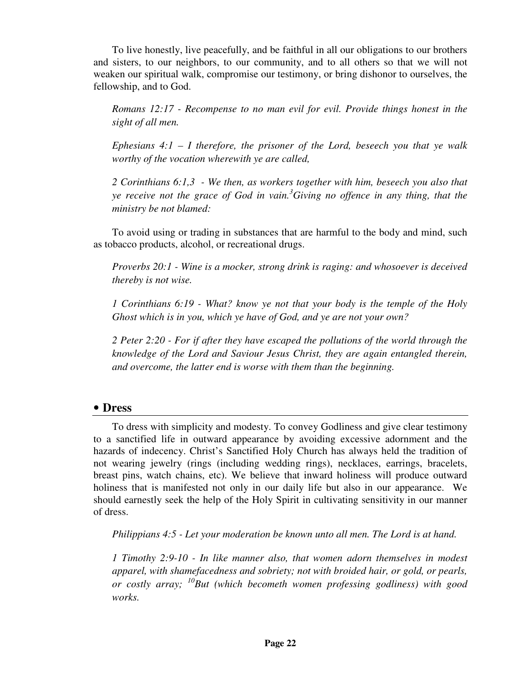To live honestly, live peacefully, and be faithful in all our obligations to our brothers and sisters, to our neighbors, to our community, and to all others so that we will not weaken our spiritual walk, compromise our testimony, or bring dishonor to ourselves, the fellowship, and to God.

*Romans 12:17 - Recompense to no man evil for evil. Provide things honest in the sight of all men.* 

*Ephesians 4:1 – I therefore, the prisoner of the Lord, beseech you that ye walk worthy of the vocation wherewith ye are called,* 

*2 Corinthians 6:1,3 - We then, as workers together with him, beseech you also that ye receive not the grace of God in vain.<sup>3</sup>Giving no offence in any thing, that the ministry be not blamed:* 

To avoid using or trading in substances that are harmful to the body and mind, such as tobacco products, alcohol, or recreational drugs.

*Proverbs 20:1 - Wine is a mocker, strong drink is raging: and whosoever is deceived thereby is not wise.* 

*1 Corinthians 6:19 - What? know ye not that your body is the temple of the Holy Ghost which is in you, which ye have of God, and ye are not your own?* 

*2 Peter 2:20 - For if after they have escaped the pollutions of the world through the knowledge of the Lord and Saviour Jesus Christ, they are again entangled therein, and overcome, the latter end is worse with them than the beginning.* 

#### • **Dress**

To dress with simplicity and modesty. To convey Godliness and give clear testimony to a sanctified life in outward appearance by avoiding excessive adornment and the hazards of indecency. Christ's Sanctified Holy Church has always held the tradition of not wearing jewelry (rings (including wedding rings), necklaces, earrings, bracelets, breast pins, watch chains, etc). We believe that inward holiness will produce outward holiness that is manifested not only in our daily life but also in our appearance. We should earnestly seek the help of the Holy Spirit in cultivating sensitivity in our manner of dress.

*Philippians 4:5 - Let your moderation be known unto all men. The Lord is at hand.* 

*1 Timothy 2:9-10 - In like manner also, that women adorn themselves in modest apparel, with shamefacedness and sobriety; not with broided hair, or gold, or pearls, or costly array; <sup>10</sup>But (which becometh women professing godliness) with good works.*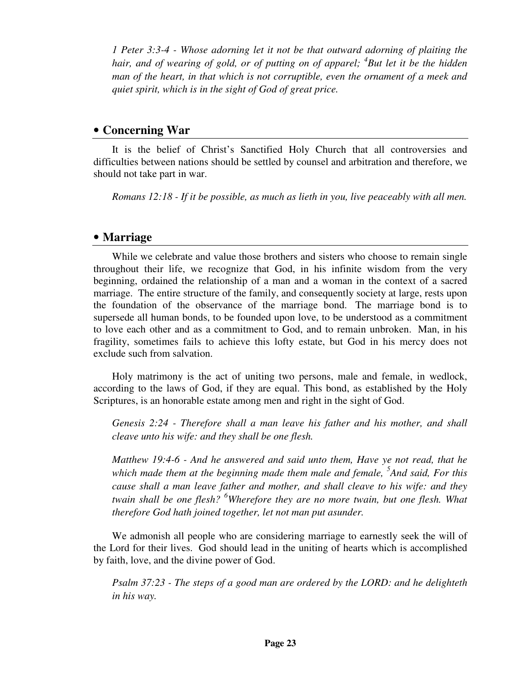*1 Peter 3:3-4 - Whose adorning let it not be that outward adorning of plaiting the hair, and of wearing of gold, or of putting on of apparel; <sup>4</sup> But let it be the hidden man of the heart, in that which is not corruptible, even the ornament of a meek and quiet spirit, which is in the sight of God of great price.* 

### • **Concerning War**

It is the belief of Christ's Sanctified Holy Church that all controversies and difficulties between nations should be settled by counsel and arbitration and therefore, we should not take part in war.

*Romans 12:18 - If it be possible, as much as lieth in you, live peaceably with all men.* 

### • **Marriage**

While we celebrate and value those brothers and sisters who choose to remain single throughout their life, we recognize that God, in his infinite wisdom from the very beginning, ordained the relationship of a man and a woman in the context of a sacred marriage. The entire structure of the family, and consequently society at large, rests upon the foundation of the observance of the marriage bond. The marriage bond is to supersede all human bonds, to be founded upon love, to be understood as a commitment to love each other and as a commitment to God, and to remain unbroken. Man, in his fragility, sometimes fails to achieve this lofty estate, but God in his mercy does not exclude such from salvation.

Holy matrimony is the act of uniting two persons, male and female, in wedlock, according to the laws of God, if they are equal. This bond, as established by the Holy Scriptures, is an honorable estate among men and right in the sight of God.

*Genesis 2:24 - Therefore shall a man leave his father and his mother, and shall cleave unto his wife: and they shall be one flesh.* 

*Matthew 19:4-6 - And he answered and said unto them, Have ye not read, that he which made them at the beginning made them male and female, <sup>5</sup> And said, For this cause shall a man leave father and mother, and shall cleave to his wife: and they twain shall be one flesh? <sup>6</sup>Wherefore they are no more twain, but one flesh. What therefore God hath joined together, let not man put asunder.* 

We admonish all people who are considering marriage to earnestly seek the will of the Lord for their lives. God should lead in the uniting of hearts which is accomplished by faith, love, and the divine power of God.

*Psalm 37:23 - The steps of a good man are ordered by the LORD: and he delighteth in his way.*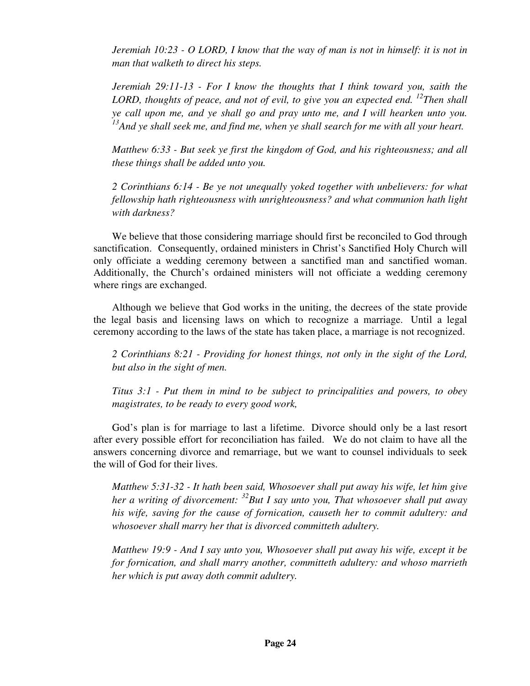*Jeremiah 10:23 - O LORD, I know that the way of man is not in himself: it is not in man that walketh to direct his steps.* 

*Jeremiah 29:11-13 - For I know the thoughts that I think toward you, saith the LORD, thoughts of peace, and not of evil, to give you an expected end.* <sup>12</sup>*Then shall ye call upon me, and ye shall go and pray unto me, and I will hearken unto you. <sup>13</sup>And ye shall seek me, and find me, when ye shall search for me with all your heart.* 

*Matthew 6:33 - But seek ye first the kingdom of God, and his righteousness; and all these things shall be added unto you.* 

*2 Corinthians 6:14 - Be ye not unequally yoked together with unbelievers: for what fellowship hath righteousness with unrighteousness? and what communion hath light with darkness?* 

We believe that those considering marriage should first be reconciled to God through sanctification. Consequently, ordained ministers in Christ's Sanctified Holy Church will only officiate a wedding ceremony between a sanctified man and sanctified woman. Additionally, the Church's ordained ministers will not officiate a wedding ceremony where rings are exchanged.

Although we believe that God works in the uniting, the decrees of the state provide the legal basis and licensing laws on which to recognize a marriage. Until a legal ceremony according to the laws of the state has taken place, a marriage is not recognized.

*2 Corinthians 8:21 - Providing for honest things, not only in the sight of the Lord, but also in the sight of men.* 

*Titus 3:1 - Put them in mind to be subject to principalities and powers, to obey magistrates, to be ready to every good work,* 

God's plan is for marriage to last a lifetime. Divorce should only be a last resort after every possible effort for reconciliation has failed. We do not claim to have all the answers concerning divorce and remarriage, but we want to counsel individuals to seek the will of God for their lives.

*Matthew 5:31-32 - It hath been said, Whosoever shall put away his wife, let him give her a writing of divorcement: <sup>32</sup>But I say unto you, That whosoever shall put away his wife, saving for the cause of fornication, causeth her to commit adultery: and whosoever shall marry her that is divorced committeth adultery.* 

*Matthew 19:9 - And I say unto you, Whosoever shall put away his wife, except it be for fornication, and shall marry another, committeth adultery: and whoso marrieth her which is put away doth commit adultery.*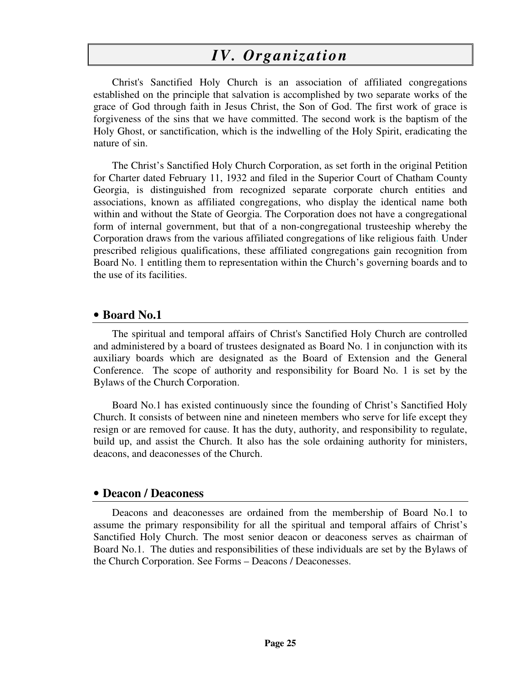## *IV. Organization*

Christ's Sanctified Holy Church is an association of affiliated congregations established on the principle that salvation is accomplished by two separate works of the grace of God through faith in Jesus Christ, the Son of God. The first work of grace is forgiveness of the sins that we have committed. The second work is the baptism of the Holy Ghost, or sanctification, which is the indwelling of the Holy Spirit, eradicating the nature of sin.

The Christ's Sanctified Holy Church Corporation, as set forth in the original Petition for Charter dated February 11, 1932 and filed in the Superior Court of Chatham County Georgia, is distinguished from recognized separate corporate church entities and associations, known as affiliated congregations, who display the identical name both within and without the State of Georgia. The Corporation does not have a congregational form of internal government, but that of a non-congregational trusteeship whereby the Corporation draws from the various affiliated congregations of like religious faith. Under prescribed religious qualifications, these affiliated congregations gain recognition from Board No. 1 entitling them to representation within the Church's governing boards and to the use of its facilities.

#### • **Board No.1**

The spiritual and temporal affairs of Christ's Sanctified Holy Church are controlled and administered by a board of trustees designated as Board No. 1 in conjunction with its auxiliary boards which are designated as the Board of Extension and the General Conference. The scope of authority and responsibility for Board No. 1 is set by the Bylaws of the Church Corporation.

Board No.1 has existed continuously since the founding of Christ's Sanctified Holy Church. It consists of between nine and nineteen members who serve for life except they resign or are removed for cause. It has the duty, authority, and responsibility to regulate, build up, and assist the Church. It also has the sole ordaining authority for ministers, deacons, and deaconesses of the Church.

#### • **Deacon / Deaconess**

Deacons and deaconesses are ordained from the membership of Board No.1 to assume the primary responsibility for all the spiritual and temporal affairs of Christ's Sanctified Holy Church. The most senior deacon or deaconess serves as chairman of Board No.1. The duties and responsibilities of these individuals are set by the Bylaws of the Church Corporation. See Forms – Deacons / Deaconesses.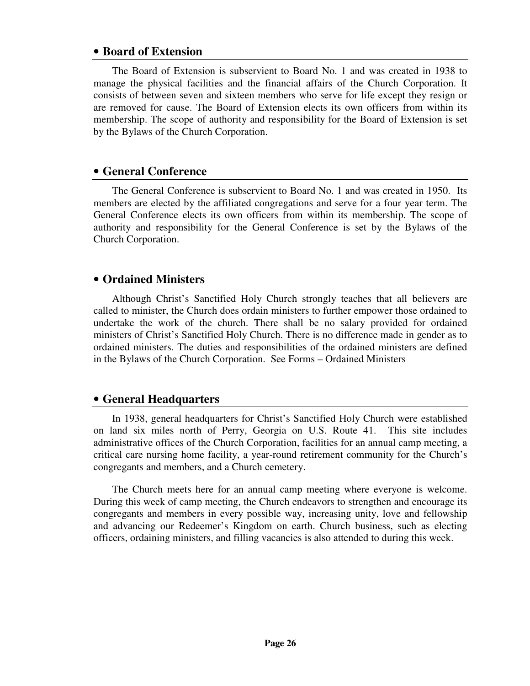#### • **Board of Extension**

The Board of Extension is subservient to Board No. 1 and was created in 1938 to manage the physical facilities and the financial affairs of the Church Corporation. It consists of between seven and sixteen members who serve for life except they resign or are removed for cause. The Board of Extension elects its own officers from within its membership. The scope of authority and responsibility for the Board of Extension is set by the Bylaws of the Church Corporation.

### • **General Conference**

The General Conference is subservient to Board No. 1 and was created in 1950. Its members are elected by the affiliated congregations and serve for a four year term. The General Conference elects its own officers from within its membership. The scope of authority and responsibility for the General Conference is set by the Bylaws of the Church Corporation.

### • **Ordained Ministers**

Although Christ's Sanctified Holy Church strongly teaches that all believers are called to minister, the Church does ordain ministers to further empower those ordained to undertake the work of the church. There shall be no salary provided for ordained ministers of Christ's Sanctified Holy Church. There is no difference made in gender as to ordained ministers. The duties and responsibilities of the ordained ministers are defined in the Bylaws of the Church Corporation. See Forms – Ordained Ministers

#### • **General Headquarters**

In 1938, general headquarters for Christ's Sanctified Holy Church were established on land six miles north of Perry, Georgia on U.S. Route 41. This site includes administrative offices of the Church Corporation, facilities for an annual camp meeting, a critical care nursing home facility, a year-round retirement community for the Church's congregants and members, and a Church cemetery.

The Church meets here for an annual camp meeting where everyone is welcome. During this week of camp meeting, the Church endeavors to strengthen and encourage its congregants and members in every possible way, increasing unity, love and fellowship and advancing our Redeemer's Kingdom on earth. Church business, such as electing officers, ordaining ministers, and filling vacancies is also attended to during this week.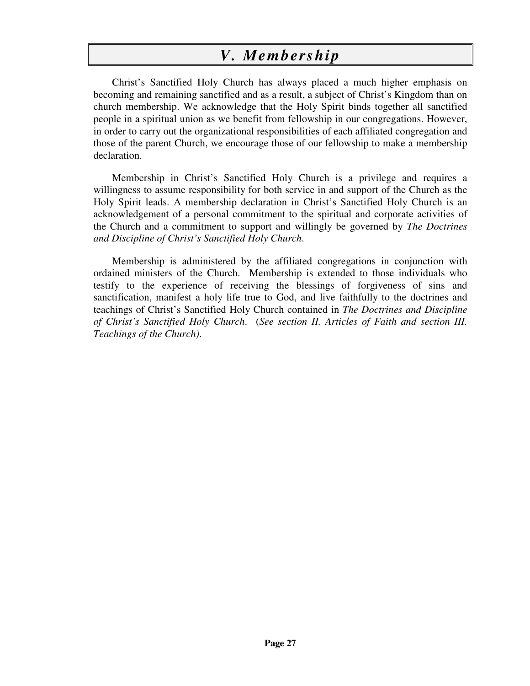## *V. Membership*

Christ's Sanctified Holy Church has always placed a much higher emphasis on becoming and remaining sanctified and as a result, a subject of Christ's Kingdom than on church membership. We acknowledge that the Holy Spirit binds together all sanctified people in a spiritual union as we benefit from fellowship in our congregations. However, in order to carry out the organizational responsibilities of each affiliated congregation and those of the parent Church, we encourage those of our fellowship to make a membership declaration.

Membership in Christ's Sanctified Holy Church is a privilege and requires a willingness to assume responsibility for both service in and support of the Church as the Holy Spirit leads. A membership declaration in Christ's Sanctified Holy Church is an acknowledgement of a personal commitment to the spiritual and corporate activities of the Church and a commitment to support and willingly be governed by *The Doctrines and Discipline of Christ's Sanctified Holy Church*.

Membership is administered by the affiliated congregations in conjunction with ordained ministers of the Church. Membership is extended to those individuals who testify to the experience of receiving the blessings of forgiveness of sins and sanctification, manifest a holy life true to God, and live faithfully to the doctrines and teachings of Christ's Sanctified Holy Church contained in *The Doctrines and Discipline of Christ's Sanctified Holy Church*. (*See section II. Articles of Faith and section III. Teachings of the Church)*.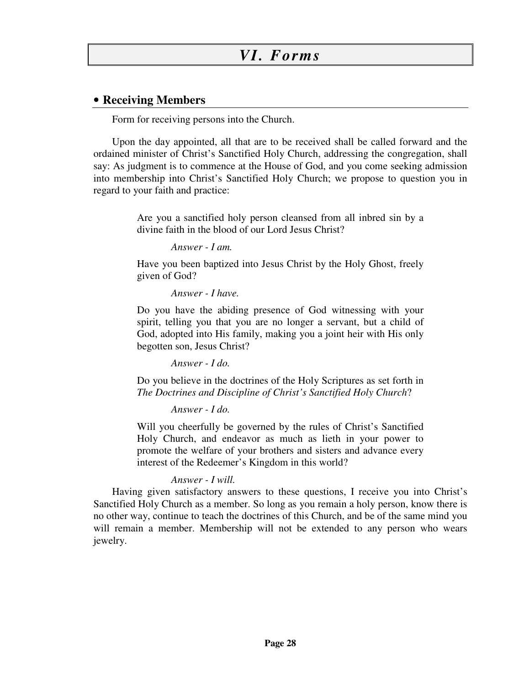### • **Receiving Members**

Form for receiving persons into the Church.

Upon the day appointed, all that are to be received shall be called forward and the ordained minister of Christ's Sanctified Holy Church, addressing the congregation, shall say: As judgment is to commence at the House of God, and you come seeking admission into membership into Christ's Sanctified Holy Church; we propose to question you in regard to your faith and practice:

> Are you a sanctified holy person cleansed from all inbred sin by a divine faith in the blood of our Lord Jesus Christ?

> > *Answer - I am.*

Have you been baptized into Jesus Christ by the Holy Ghost, freely given of God?

*Answer - I have.* 

Do you have the abiding presence of God witnessing with your spirit, telling you that you are no longer a servant, but a child of God, adopted into His family, making you a joint heir with His only begotten son, Jesus Christ?

*Answer - I do.* 

Do you believe in the doctrines of the Holy Scriptures as set forth in *The Doctrines and Discipline of Christ's Sanctified Holy Church*?

*Answer - I do.* 

Will you cheerfully be governed by the rules of Christ's Sanctified Holy Church, and endeavor as much as lieth in your power to promote the welfare of your brothers and sisters and advance every interest of the Redeemer's Kingdom in this world?

#### *Answer - I will.*

Having given satisfactory answers to these questions, I receive you into Christ's Sanctified Holy Church as a member. So long as you remain a holy person, know there is no other way, continue to teach the doctrines of this Church, and be of the same mind you will remain a member. Membership will not be extended to any person who wears jewelry.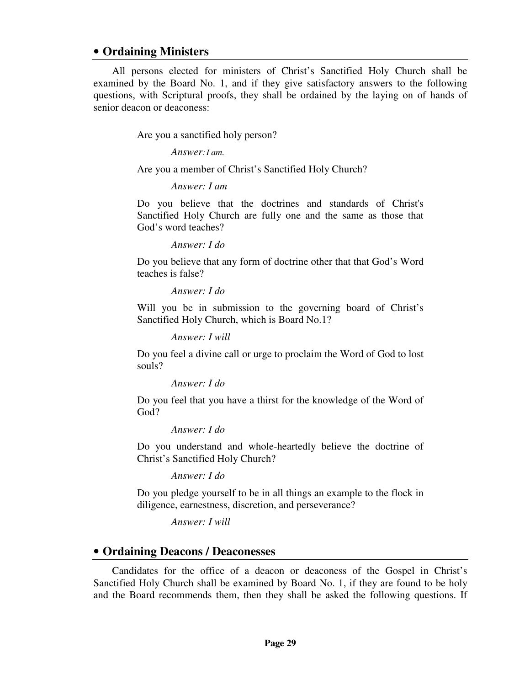#### • **Ordaining Ministers**

All persons elected for ministers of Christ's Sanctified Holy Church shall be examined by the Board No. 1, and if they give satisfactory answers to the following questions, with Scriptural proofs, they shall be ordained by the laying on of hands of senior deacon or deaconess:

Are you a sanctified holy person?

*Answer*: *I am.* 

Are you a member of Christ's Sanctified Holy Church?

*Answer: I am* 

Do you believe that the doctrines and standards of Christ's Sanctified Holy Church are fully one and the same as those that God's word teaches?

*Answer: I do* 

Do you believe that any form of doctrine other that that God's Word teaches is false?

*Answer: I do* 

Will you be in submission to the governing board of Christ's Sanctified Holy Church, which is Board No.1?

*Answer: I will* 

Do you feel a divine call or urge to proclaim the Word of God to lost souls?

*Answer: I do* 

Do you feel that you have a thirst for the knowledge of the Word of God?

*Answer: I do* 

Do you understand and whole-heartedly believe the doctrine of Christ's Sanctified Holy Church?

*Answer: I do* 

Do you pledge yourself to be in all things an example to the flock in diligence, earnestness, discretion, and perseverance?

*Answer: I will* 

#### • **Ordaining Deacons / Deaconesses**

Candidates for the office of a deacon or deaconess of the Gospel in Christ's Sanctified Holy Church shall be examined by Board No. 1, if they are found to be holy and the Board recommends them, then they shall be asked the following questions. If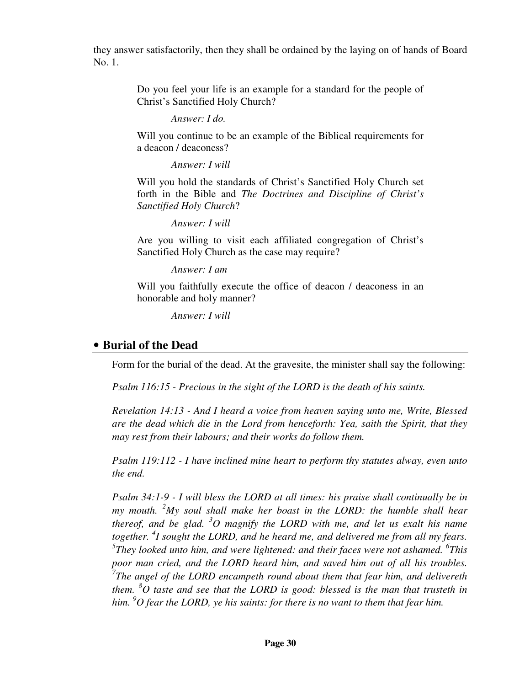they answer satisfactorily, then they shall be ordained by the laying on of hands of Board No. 1.

> Do you feel your life is an example for a standard for the people of Christ's Sanctified Holy Church?

> > *Answer: I do.*

Will you continue to be an example of the Biblical requirements for a deacon / deaconess?

*Answer: I will* 

Will you hold the standards of Christ's Sanctified Holy Church set forth in the Bible and *The Doctrines and Discipline of Christ's Sanctified Holy Church*?

*Answer: I will* 

Are you willing to visit each affiliated congregation of Christ's Sanctified Holy Church as the case may require?

*Answer: I am* 

Will you faithfully execute the office of deacon / deaconess in an honorable and holy manner?

*Answer: I will* 

#### • **Burial of the Dead**

Form for the burial of the dead. At the gravesite, the minister shall say the following:

*Psalm 116:15 - Precious in the sight of the LORD is the death of his saints.* 

*Revelation 14:13 - And I heard a voice from heaven saying unto me, Write, Blessed are the dead which die in the Lord from henceforth: Yea, saith the Spirit, that they may rest from their labours; and their works do follow them.* 

*Psalm 119:112 - I have inclined mine heart to perform thy statutes alway, even unto the end.* 

*Psalm 34:1-9 - I will bless the LORD at all times: his praise shall continually be in my mouth. <sup>2</sup>My soul shall make her boast in the LORD: the humble shall hear thereof, and be glad. <sup>3</sup>O magnify the LORD with me, and let us exalt his name together. <sup>4</sup> I sought the LORD, and he heard me, and delivered me from all my fears.*  <sup>5</sup>They looked unto him, and were lightened: and their faces were not ashamed. <sup>6</sup>This *poor man cried, and the LORD heard him, and saved him out of all his troubles. 7 The angel of the LORD encampeth round about them that fear him, and delivereth them. <sup>8</sup>O taste and see that the LORD is good: blessed is the man that trusteth in him. <sup>9</sup>O fear the LORD, ye his saints: for there is no want to them that fear him.*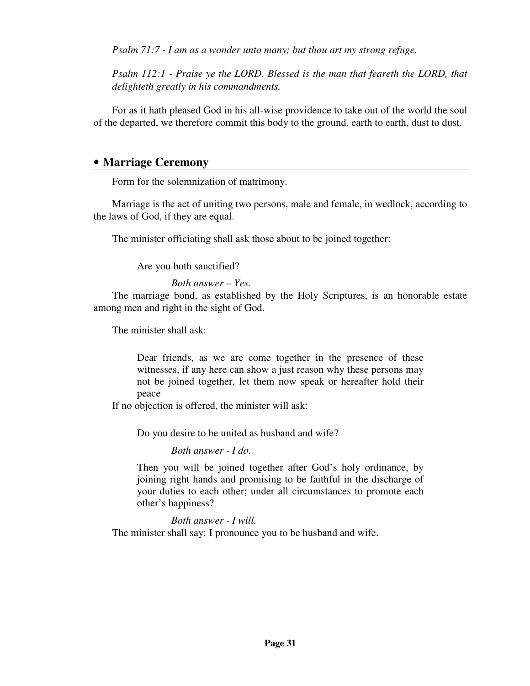*Psalm 71:7 - I am as a wonder unto many; but thou art my strong refuge.* 

*Psalm 112:1 - Praise ye the LORD. Blessed is the man that feareth the LORD, that delighteth greatly in his commandments.* 

For as it hath pleased God in his all-wise providence to take out of the world the soul of the departed, we therefore commit this body to the ground, earth to earth, dust to dust.

#### • **Marriage Ceremony**

Form for the solemnization of matrimony.

Marriage is the act of uniting two persons, male and female, in wedlock, according to the laws of God, if they are equal.

The minister officiating shall ask those about to be joined together:

Are you both sanctified?

#### *Both answer – Yes.*

The marriage bond, as established by the Holy Scriptures, is an honorable estate among men and right in the sight of God.

The minister shall ask:

Dear friends, as we are come together in the presence of these witnesses, if any here can show a just reason why these persons may not be joined together, let them now speak or hereafter hold their peace

If no objection is offered, the minister will ask:

Do you desire to be united as husband and wife?

*Both answer - I do.* 

Then you will be joined together after God's holy ordinance, by joining right hands and promising to be faithful in the discharge of your duties to each other; under all circumstances to promote each other's happiness?

*Both answer - I will.* 

The minister shall say: I pronounce you to be husband and wife.